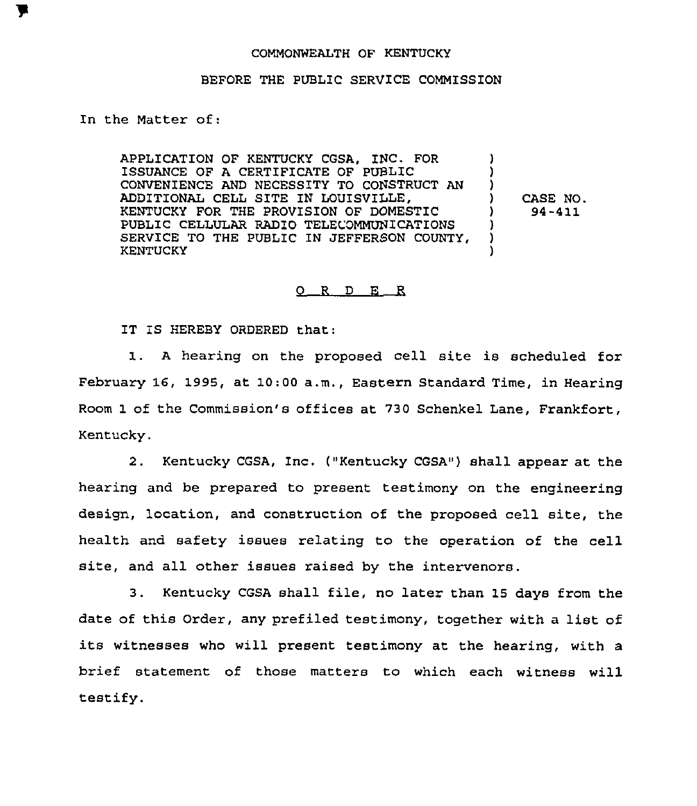## COMMONWEALTH OF KENTUCKY

## BEFORE THE PUBLIC SERVICE COMMISSION

In the Matter of:

APPLICATION OF KENTUCKY COSA, INC. FOR ISSUANCE OF A CERTIFICATE OF PUBLIC CONVENIENCE AND NECESSITY TO CONSTRUCT AN ADDITIONAL CELL SITE IN LOUISVILLE. KENTUCKY FOR THE PROVISION OF DOMESTIC PUBLIC CELLULAR RADIO TELECOMMUNICATIONS SERVICE TO THE PUBLIC IN JEFFERSON COUNTY, KENTUCKY ) ) ) ) CASE NO. ) 94-411 ) ) )

## 0 <sup>R</sup> <sup>D</sup> E R

IT IS HEREBY ORDERED that:

1. <sup>A</sup> hearing on the proposed cell site is scheduled for February 16, 1995, at 10:00 a.m., Eastern Standard Time, in Hearing Room 1 of the Commission's offices at 730 Schenkel Lane, Frankfort, Kentucky.

2. Kentucky CGSA, Inc. ("Kentucky CGSA") shall appear at the hearing and be prepared to present testimony on the engineering design, location, and construction of the proposed cell site, the health and safety issues relating to the operation of the cell site, and all other issues raised by the intervenors.

3. Kentucky CGSA shall file, no later than 15 days from the date of this Order, any prefiled testimony, together with <sup>a</sup> list of its witnesses who will present testimony at the hearing, with a brief statement of those matters to which each witness will testify.